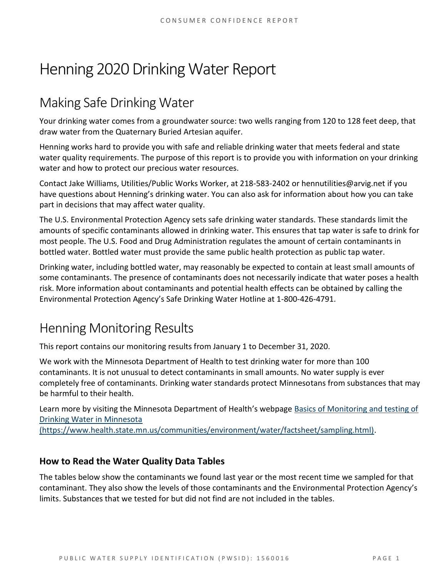# Henning 2020 Drinking Water Report

# Making Safe Drinking Water

Your drinking water comes from a groundwater source: two wells ranging from 120 to 128 feet deep, that draw water from the Quaternary Buried Artesian aquifer.

Henning works hard to provide you with safe and reliable drinking water that meets federal and state water quality requirements. The purpose of this report is to provide you with information on your drinking water and how to protect our precious water resources.

Contact Jake Williams, Utilities/Public Works Worker, at 218-583-2402 or hennutilities@arvig.net if you have questions about Henning's drinking water. You can also ask for information about how you can take part in decisions that may affect water quality.

The U.S. Environmental Protection Agency sets safe drinking water standards. These standards limit the amounts of specific contaminants allowed in drinking water. This ensures that tap water is safe to drink for most people. The U.S. Food and Drug Administration regulates the amount of certain contaminants in bottled water. Bottled water must provide the same public health protection as public tap water.

Drinking water, including bottled water, may reasonably be expected to contain at least small amounts of some contaminants. The presence of contaminants does not necessarily indicate that water poses a health risk. More information about contaminants and potential health effects can be obtained by calling the Environmental Protection Agency's Safe Drinking Water Hotline at 1-800-426-4791.

# Henning Monitoring Results

This report contains our monitoring results from January 1 to December 31, 2020.

We work with the Minnesota Department of Health to test drinking water for more than 100 contaminants. It is not unusual to detect contaminants in small amounts. No water supply is ever completely free of contaminants. Drinking water standards protect Minnesotans from substances that may be harmful to their health.

Learn more by visiting the Minnesota Department of Health's webpage [Basics of Monitoring and testing of](https://www.health.state.mn.us/communities/environment/water/factsheet/sampling.html)  [Drinking Water in Minnesota](https://www.health.state.mn.us/communities/environment/water/factsheet/sampling.html) 

[\(https://www.health.state.mn.us/communities/environment/water/factsheet/sampling.html\).](https://www.health.state.mn.us/communities/environment/water/factsheet/sampling.html)

### **How to Read the Water Quality Data Tables**

The tables below show the contaminants we found last year or the most recent time we sampled for that contaminant. They also show the levels of those contaminants and the Environmental Protection Agency's limits. Substances that we tested for but did not find are not included in the tables.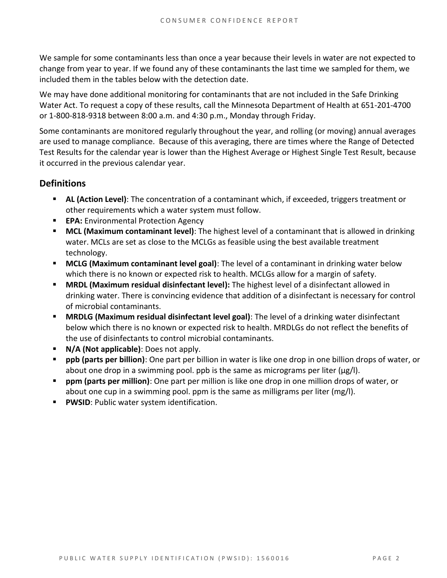We sample for some contaminants less than once a year because their levels in water are not expected to change from year to year. If we found any of these contaminants the last time we sampled for them, we included them in the tables below with the detection date.

We may have done additional monitoring for contaminants that are not included in the Safe Drinking Water Act. To request a copy of these results, call the Minnesota Department of Health at 651-201-4700 or 1-800-818-9318 between 8:00 a.m. and 4:30 p.m., Monday through Friday.

Some contaminants are monitored regularly throughout the year, and rolling (or moving) annual averages are used to manage compliance. Because of this averaging, there are times where the Range of Detected Test Results for the calendar year is lower than the Highest Average or Highest Single Test Result, because it occurred in the previous calendar year.

### **Definitions**

- AL (Action Level): The concentration of a contaminant which, if exceeded, triggers treatment or other requirements which a water system must follow.
- **EPA:** Environmental Protection Agency
- **MCL (Maximum contaminant level)**: The highest level of a contaminant that is allowed in drinking water. MCLs are set as close to the MCLGs as feasible using the best available treatment technology.
- **MCLG (Maximum contaminant level goal)**: The level of a contaminant in drinking water below which there is no known or expected risk to health. MCLGs allow for a margin of safety.
- **MRDL (Maximum residual disinfectant level):** The highest level of a disinfectant allowed in drinking water. There is convincing evidence that addition of a disinfectant is necessary for control of microbial contaminants.
- **MRDLG (Maximum residual disinfectant level goal)**: The level of a drinking water disinfectant below which there is no known or expected risk to health. MRDLGs do not reflect the benefits of the use of disinfectants to control microbial contaminants.
- **N/A (Not applicable)**: Does not apply.
- **ppb (parts per billion)**: One part per billion in water is like one drop in one billion drops of water, or about one drop in a swimming pool. ppb is the same as micrograms per liter ( $\mu$ g/l).
- **ppm (parts per million)**: One part per million is like one drop in one million drops of water, or about one cup in a swimming pool. ppm is the same as milligrams per liter (mg/l).
- **PWSID: Public water system identification.**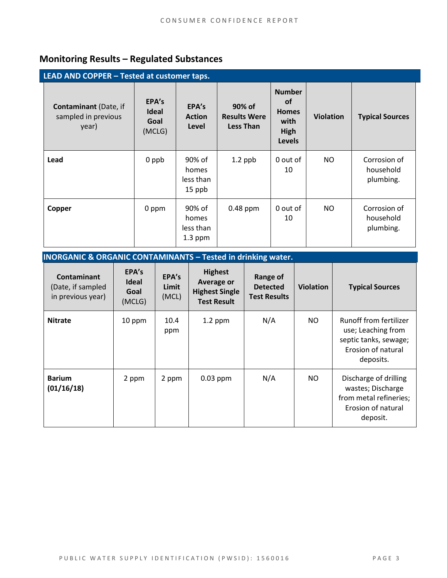# **Monitoring Results – Regulated Substances**

| LEAD AND COPPER - Tested at customer taps.                   |                                         |                                           |                                                   |                                                                                    |                  |                                        |  |
|--------------------------------------------------------------|-----------------------------------------|-------------------------------------------|---------------------------------------------------|------------------------------------------------------------------------------------|------------------|----------------------------------------|--|
| <b>Contaminant</b> (Date, if<br>sampled in previous<br>year) | EPA's<br><b>Ideal</b><br>Goal<br>(MCLG) | EPA's<br><b>Action</b><br>Level           | 90% of<br><b>Results Were</b><br><b>Less Than</b> | <b>Number</b><br><b>of</b><br><b>Homes</b><br>with<br><b>High</b><br><b>Levels</b> | <b>Violation</b> | <b>Typical Sources</b>                 |  |
| Lead                                                         | 0 ppb                                   | 90% of<br>homes<br>less than<br>15 ppb    | $1.2$ ppb                                         | 0 out of<br>10                                                                     | NO               | Corrosion of<br>household<br>plumbing. |  |
| Copper                                                       | 0 ppm                                   | 90% of<br>homes<br>less than<br>$1.3$ ppm | $0.48$ ppm                                        | 0 out of<br>10                                                                     | NO.              | Corrosion of<br>household<br>plumbing. |  |

| <b>INORGANIC &amp; ORGANIC CONTAMINANTS - Tested in drinking water.</b> |                                         |                         |                                                                             |                                                    |                  |                                                                                                          |  |
|-------------------------------------------------------------------------|-----------------------------------------|-------------------------|-----------------------------------------------------------------------------|----------------------------------------------------|------------------|----------------------------------------------------------------------------------------------------------|--|
| <b>Contaminant</b><br>(Date, if sampled<br>in previous year)            | EPA's<br><b>Ideal</b><br>Goal<br>(MCLG) | EPA's<br>Limit<br>(MCL) | <b>Highest</b><br>Average or<br><b>Highest Single</b><br><b>Test Result</b> | Range of<br><b>Detected</b><br><b>Test Results</b> | <b>Violation</b> | <b>Typical Sources</b>                                                                                   |  |
| <b>Nitrate</b>                                                          | 10 ppm                                  | 10.4<br>ppm             | $1.2$ ppm                                                                   | N/A                                                | NO.              | Runoff from fertilizer<br>use; Leaching from<br>septic tanks, sewage;<br>Erosion of natural<br>deposits. |  |
| <b>Barium</b><br>(01/16/18)                                             | 2 ppm                                   | 2 ppm                   | $0.03$ ppm                                                                  | N/A                                                | NO.              | Discharge of drilling<br>wastes; Discharge<br>from metal refineries;<br>Erosion of natural<br>deposit.   |  |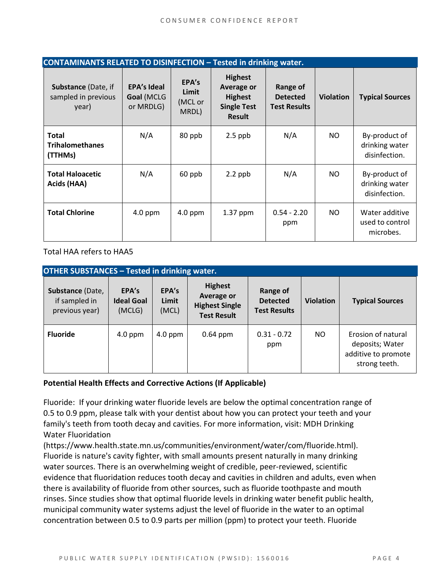| <b>CONTAMINANTS RELATED TO DISINFECTION - Tested in drinking water.</b> |                                               |                                    |                                                                                              |                                                    |                  |                                                  |  |
|-------------------------------------------------------------------------|-----------------------------------------------|------------------------------------|----------------------------------------------------------------------------------------------|----------------------------------------------------|------------------|--------------------------------------------------|--|
| Substance (Date, if<br>sampled in previous<br>year)                     | <b>EPA's Ideal</b><br>Goal (MCLG<br>or MRDLG) | EPA's<br>Limit<br>(MCL or<br>MRDL) | <b>Highest</b><br><b>Average or</b><br><b>Highest</b><br><b>Single Test</b><br><b>Result</b> | Range of<br><b>Detected</b><br><b>Test Results</b> | <b>Violation</b> | <b>Typical Sources</b>                           |  |
| <b>Total</b><br><b>Trihalomethanes</b><br>(TTHMs)                       | N/A                                           | 80 ppb                             | $2.5$ ppb                                                                                    | N/A                                                | NO.              | By-product of<br>drinking water<br>disinfection. |  |
| <b>Total Haloacetic</b><br>Acids (HAA)                                  | N/A                                           | 60 ppb                             | $2.2$ ppb                                                                                    | N/A                                                | NO.              | By-product of<br>drinking water<br>disinfection. |  |
| <b>Total Chlorine</b>                                                   | $4.0$ ppm                                     | $4.0$ ppm                          | 1.37 ppm                                                                                     | $0.54 - 2.20$<br>ppm                               | NO.              | Water additive<br>used to control<br>microbes.   |  |

Total HAA refers to HAA5

| <b>OTHER SUBSTANCES - Tested in drinking water.</b> |                                      |                         |                                                                                    |                                                    |                  |                                                                               |  |  |
|-----------------------------------------------------|--------------------------------------|-------------------------|------------------------------------------------------------------------------------|----------------------------------------------------|------------------|-------------------------------------------------------------------------------|--|--|
| Substance (Date,<br>if sampled in<br>previous year) | EPA's<br><b>Ideal Goal</b><br>(MCLG) | EPA's<br>Limit<br>(MCL) | <b>Highest</b><br><b>Average or</b><br><b>Highest Single</b><br><b>Test Result</b> | Range of<br><b>Detected</b><br><b>Test Results</b> | <b>Violation</b> | <b>Typical Sources</b>                                                        |  |  |
| <b>Fluoride</b>                                     | $4.0$ ppm                            | $4.0$ ppm               | $0.64$ ppm                                                                         | $0.31 - 0.72$<br>ppm                               | NO.              | Erosion of natural<br>deposits; Water<br>additive to promote<br>strong teeth. |  |  |

#### **Potential Health Effects and Corrective Actions (If Applicable)**

Fluoride: If your drinking water fluoride levels are below the optimal concentration range of 0.5 to 0.9 ppm, please talk with your dentist about how you can protect your teeth and your family's teeth from tooth decay and cavities. For more information, visit: MDH Drinking Water Fluoridation

(https://www.health.state.mn.us/communities/environment/water/com/fluoride.html). Fluoride is nature's cavity fighter, with small amounts present naturally in many drinking water sources. There is an overwhelming weight of credible, peer-reviewed, scientific evidence that fluoridation reduces tooth decay and cavities in children and adults, even when there is availability of fluoride from other sources, such as fluoride toothpaste and mouth rinses. Since studies show that optimal fluoride levels in drinking water benefit public health, municipal community water systems adjust the level of fluoride in the water to an optimal concentration between 0.5 to 0.9 parts per million (ppm) to protect your teeth. Fluoride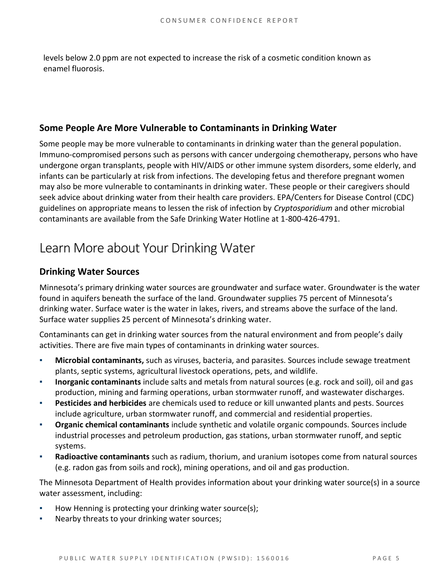levels below 2.0 ppm are not expected to increase the risk of a cosmetic condition known as enamel fluorosis.

### **Some People Are More Vulnerable to Contaminants in Drinking Water**

Some people may be more vulnerable to contaminants in drinking water than the general population. Immuno-compromised persons such as persons with cancer undergoing chemotherapy, persons who have undergone organ transplants, people with HIV/AIDS or other immune system disorders, some elderly, and infants can be particularly at risk from infections. The developing fetus and therefore pregnant women may also be more vulnerable to contaminants in drinking water. These people or their caregivers should seek advice about drinking water from their health care providers. EPA/Centers for Disease Control (CDC) guidelines on appropriate means to lessen the risk of infection by *Cryptosporidium* and other microbial contaminants are available from the Safe Drinking Water Hotline at 1-800-426-4791.

# Learn More about Your Drinking Water

### **Drinking Water Sources**

Minnesota's primary drinking water sources are groundwater and surface water. Groundwater is the water found in aquifers beneath the surface of the land. Groundwater supplies 75 percent of Minnesota's drinking water. Surface water is the water in lakes, rivers, and streams above the surface of the land. Surface water supplies 25 percent of Minnesota's drinking water.

Contaminants can get in drinking water sources from the natural environment and from people's daily activities. There are five main types of contaminants in drinking water sources.

- Microbial contaminants, such as viruses, bacteria, and parasites. Sources include sewage treatment plants, septic systems, agricultural livestock operations, pets, and wildlife.
- **Inorganic contaminants** include salts and metals from natural sources (e.g. rock and soil), oil and gas production, mining and farming operations, urban stormwater runoff, and wastewater discharges.
- **Pesticides and herbicides** are chemicals used to reduce or kill unwanted plants and pests. Sources include agriculture, urban stormwater runoff, and commercial and residential properties.
- **Organic chemical contaminants** include synthetic and volatile organic compounds. Sources include industrial processes and petroleum production, gas stations, urban stormwater runoff, and septic systems.
- Radioactive contaminants such as radium, thorium, and uranium isotopes come from natural sources (e.g. radon gas from soils and rock), mining operations, and oil and gas production.

The Minnesota Department of Health provides information about your drinking water source(s) in a source water assessment, including:

- How Henning is protecting your drinking water source(s);
- Nearby threats to your drinking water sources;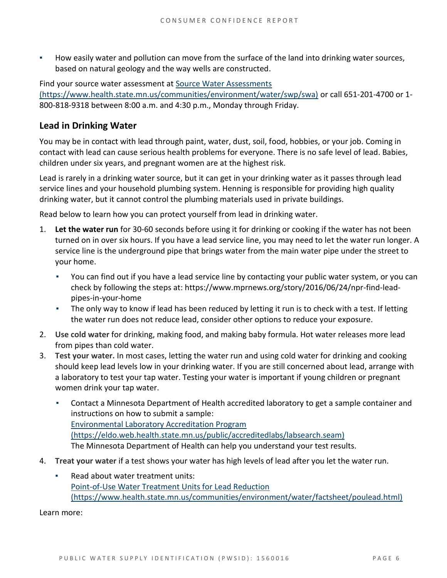How easily water and pollution can move from the surface of the land into drinking water sources, based on natural geology and the way wells are constructed.

Find your source water assessment at [Source Water Assessments](https://www.health.state.mn.us/communities/environment/water/swp/swa)  [\(https://www.health.state.mn.us/communities/environment/water/swp/swa\)](https://www.health.state.mn.us/communities/environment/water/swp/swa) or call 651-201-4700 or 1- 800-818-9318 between 8:00 a.m. and 4:30 p.m., Monday through Friday.

## **Lead in Drinking Water**

You may be in contact with lead through paint, water, dust, soil, food, hobbies, or your job. Coming in contact with lead can cause serious health problems for everyone. There is no safe level of lead. Babies, children under six years, and pregnant women are at the highest risk.

Lead is rarely in a drinking water source, but it can get in your drinking water as it passes through lead service lines and your household plumbing system. Henning is responsible for providing high quality drinking water, but it cannot control the plumbing materials used in private buildings.

Read below to learn how you can protect yourself from lead in drinking water.

- 1. **Let the water run** for 30-60 seconds before using it for drinking or cooking if the water has not been turned on in over six hours. If you have a lead service line, you may need to let the water run longer. A service line is the underground pipe that brings water from the main water pipe under the street to your home.
	- You can find out if you have a lead service line by contacting your public water system, or you can check by following the steps at: [https://www.mprnews.org/story/2016/06/24/npr-find-lead](https://www.mprnews.org/story/2016/06/24/npr-find-lead-pipes-in-your-home)[pipes-in-your-home](https://www.mprnews.org/story/2016/06/24/npr-find-lead-pipes-in-your-home)
	- The only way to know if lead has been reduced by letting it run is to check with a test. If letting the water run does not reduce lead, consider other options to reduce your exposure.
- 2. **Use cold water** for drinking, making food, and making baby formula. Hot water releases more lead from pipes than cold water.
- 3. **Test your water.** In most cases, letting the water run and using cold water for drinking and cooking should keep lead levels low in your drinking water. If you are still concerned about lead, arrange with a laboratory to test your tap water. Testing your water is important if young children or pregnant women drink your tap water.
	- Contact a Minnesota Department of Health accredited laboratory to get a sample container and instructions on how to submit a sample: [Environmental Laboratory Accreditation Program](https://eldo.web.health.state.mn.us/public/accreditedlabs/labsearch.seam)  [\(https://eldo.web.health.state.mn.us/public/accreditedlabs/labsearch.seam\)](https://eldo.web.health.state.mn.us/public/accreditedlabs/labsearch.seam) The Minnesota Department of Health can help you understand your test results.
- 4. **Treat your water** if a test shows your water has high levels of lead after you let the water run.
	- Read about water treatment units: [Point-of-Use Water Treatment Units for Lead Reduction](https://www.health.state.mn.us/communities/environment/water/factsheet/poulead.html)  [\(https://www.health.state.mn.us/communities/environment/water/factsheet/poulead.html\)](https://www.health.state.mn.us/communities/environment/water/factsheet/poulead.html)

Learn more: